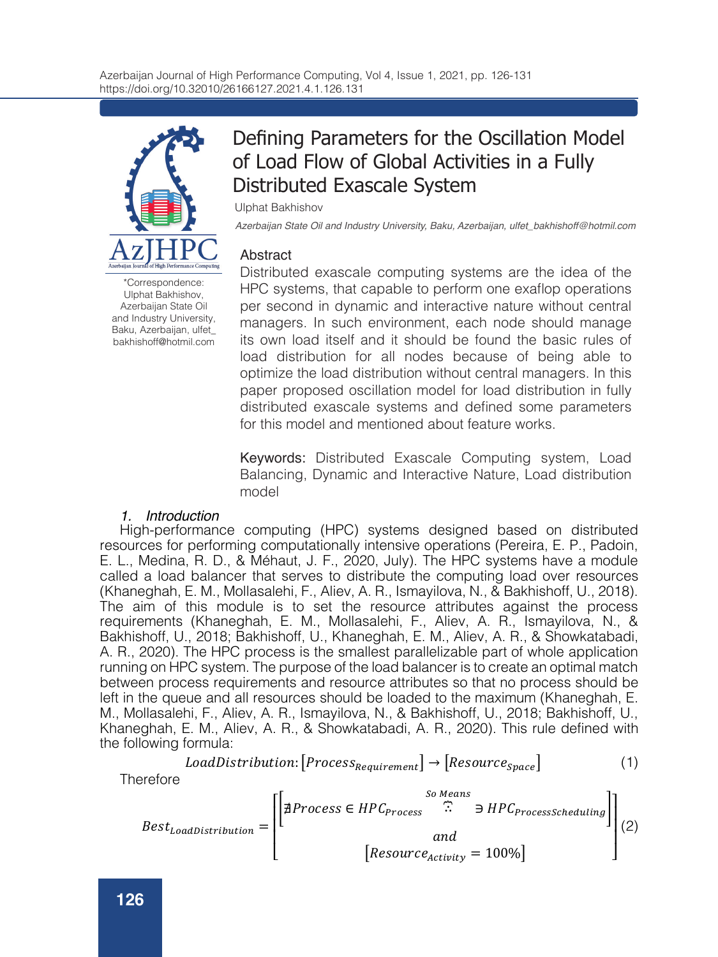

\*Correspondence: Ulphat Bakhishov, Azerbaijan State Oil and Industry University, Baku, Azerbaijan, ulfet\_ bakhishoff@hotmil.com

# Defining Parameters for the Oscillation Model of Load Flow of Global Activities in a Fully Distributed Exascale System

Ulphat Bakhishov

*Azerbaijan State Oil and Industry University, Baku, Azerbaijan, ulfet\_bakhishoff@hotmil.com*

## **Abstract**

Distributed exascale computing systems are the idea of the HPC systems, that capable to perform one exaflop operations per second in dynamic and interactive nature without central managers. In such environment, each node should manage its own load itself and it should be found the basic rules of load distribution for all nodes because of being able to optimize the load distribution without central managers. In this paper proposed oscillation model for load distribution in fully distributed exascale systems and defined some parameters for this model and mentioned about feature works.

Keywords: Distributed Exascale Computing system, Load Balancing, Dynamic and Interactive Nature, Load distribution model

## *1. Introduction*

High-performance computing (HPC) systems designed based on distributed resources for performing computationally intensive operations (Pereira, E. P., Padoin, E. L., Medina, R. D., & Méhaut, J. F., 2020, July). The HPC systems have a module called a load balancer that serves to distribute the computing load over resources (Khaneghah, E. M., Mollasalehi, F., Aliev, A. R., Ismayilova, N., & Bakhishoff, U., 2018). The aim of this module is to set the resource attributes against the process requirements (Khaneghah, E. M., Mollasalehi, F., Aliev, A. R., Ismayilova, N., & Bakhishoff, U., 2018; Bakhishoff, U., Khaneghah, E. M., Aliev, A. R., & Showkatabadi, A. R., 2020). The HPC process is the smallest parallelizable part of whole application running on HPC system. The purpose of the load balancer is to create an optimal match between process requirements and resource attributes so that no process should be left in the queue and all resources should be loaded to the maximum (Khaneghah, E. M., Mollasalehi, F., Aliev, A. R., Ismayilova, N., & Bakhishoff, U., 2018; Bakhishoff, U., Khaneghah, E. M., Aliev, A. R., & Showkatabadi, A. R., 2020). This rule defined with the following formula:

$$
Load Distribution: [Process_{Required} \rightarrow [Resource_{space}] \tag{1}
$$

**Therefore** 

$$
Best_{Load Distribution} = \begin{bmatrix} & so \text{ Means} \\ \hline \\ \end{bmatrix} \text{ } \begin{bmatrix} & so \text{ Means} \\ \hline \\ \end{bmatrix} \text{ } \begin{bmatrix} & so \text{ Means} \\ \text{ } \end{bmatrix} \text{ } \\ \begin{bmatrix} & \text{and} \\ \end{bmatrix} \text{ } \\ \begin{bmatrix} \text{Resource} \\ \end{bmatrix} \text{ } \begin{bmatrix} & \text{100\%} \\ \end{bmatrix} \text{ } \begin{bmatrix} 2 \end{bmatrix}
$$

F., Aliev, A. R., & Mousavi, E., 2018). HPC process scheduling is the overall queue of HPC processes. So, the basic goal for load distribution is creating mapping between process requirements and resource attributes, and the best state of load distribution is that any HPC process should not be in HPC process schedule, and each active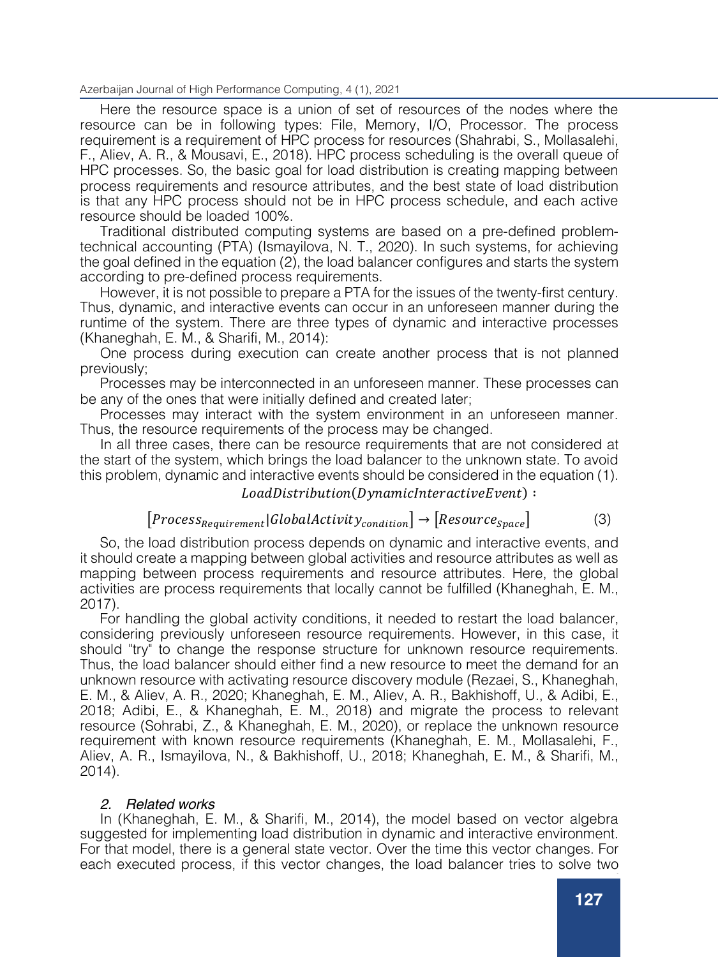## ⎢ Azerbaijan Journal of High Performance Computing, 4 (1), 2021

 $\frac{1}{2}$  and  $\frac{1}{2}$   $\frac{1}{2}$   $\frac{1}{2}$   $\frac{1}{2}$   $\frac{1}{2}$   $\frac{1}{2}$   $\frac{1}{2}$   $\frac{1}{2}$   $\frac{1}{2}$   $\frac{1}{2}$   $\frac{1}{2}$   $\frac{1}{2}$   $\frac{1}{2}$   $\frac{1}{2}$   $\frac{1}{2}$   $\frac{1}{2}$   $\frac{1}{2}$   $\frac{1}{2}$   $\frac{1}{2}$   $\frac{1}{2}$   $\frac{1}{2$ Here the resource space is a union of set of resources of the nodes where the resource can be in following types: File, Memory, I/O, Processor. The process requirement is a requirement of HPC process for resources (Shahrabi, S., Mollasalehi, F., Aliev, A. R., & Mousavi, E., 2018). HPC process scheduling is the overall queue of HPC processes. So, the basic goal for load distribution is creating mapping between process requirements and resource attributes, and the best state of load distribution is that any HPC process should not be in HPC process schedule, and each active resource should be loaded 100%.

Traditional distributed computing systems are based on a pre-defined problemtechnical accounting (PTA) (Ismayilova, N. T., 2020). In such systems, for achieving the goal defined in the equation (2), the load balancer configures and starts the system according to pre-defined process requirements.

However, it is not possible to prepare a PTA for the issues of the twenty-first century. Thus, dynamic, and interactive events can occur in an unforeseen manner during the runtime of the system. There are three types of dynamic and interactive processes (Khaneghah, E. M., & Sharifi, M., 2014):

One process during execution can create another process that is not planned previously;

Processes may be interconnected in an unforeseen manner. These processes can be any of the ones that were initially defined and created later;

Processes may interact with the system environment in an unforeseen manner. Thus, the resource requirements of the process may be changed.

In all three cases, there can be resource requirements that are not considered at the start of the system, which brings the load balancer to the unknown state. To avoid this problem, dynamic and interactive events should be considered in the equation (1).

## $Load Distribution(Dynamichteractive Event):$

$$
[Process_{Requirement}|GlobalActivity_{condition}] \rightarrow [Resource_{space}]
$$
 (3)

So, the load distribution process depends on dynamic and interactive events, and it should create a mapping between global activities and resource attributes as well as mapping between process requirements and resource attributes. Here, the global activities are process requirements that locally cannot be fulfilled (Khaneghah, E. M., 2017).

For handling the global activity conditions, it needed to restart the load balancer, considering previously unforeseen resource requirements. However, in this case, it should "try" to change the response structure for unknown resource requirements. Thus, the load balancer should either find a new resource to meet the demand for an unknown resource with activating resource discovery module (Rezaei, S., Khaneghah, E. M., & Aliev, A. R., 2020; Khaneghah, E. M., Aliev, A. R., Bakhishoff, U., & Adibi, E., 2018; Adibi, E., & Khaneghah, E. M., 2018) and migrate the process to relevant resource (Sohrabi, Z., & Khaneghah, E. M., 2020), or replace the unknown resource requirement with known resource requirements (Khaneghah, E. M., Mollasalehi, F., Aliev, A. R., Ismayilova, N., & Bakhishoff, U., 2018; Khaneghah, E. M., & Sharifi, M., 2014).

### *2. Related works*

In (Khaneghah, E. M., & Sharifi, M., 2014), the model based on vector algebra suggested for implementing load distribution in dynamic and interactive environment. For that model, there is a general state vector. Over the time this vector changes. For each executed process, if this vector changes, the load balancer tries to solve two

problems: value disorder and direction disorder. Value disorder means the direction of

it means the direction disorder has occurred. Solving these two problems allows to reconfigure a distributed exascale computing system during dynamic and interactive events in runtime. However, it is difficult to determine the state vector of the system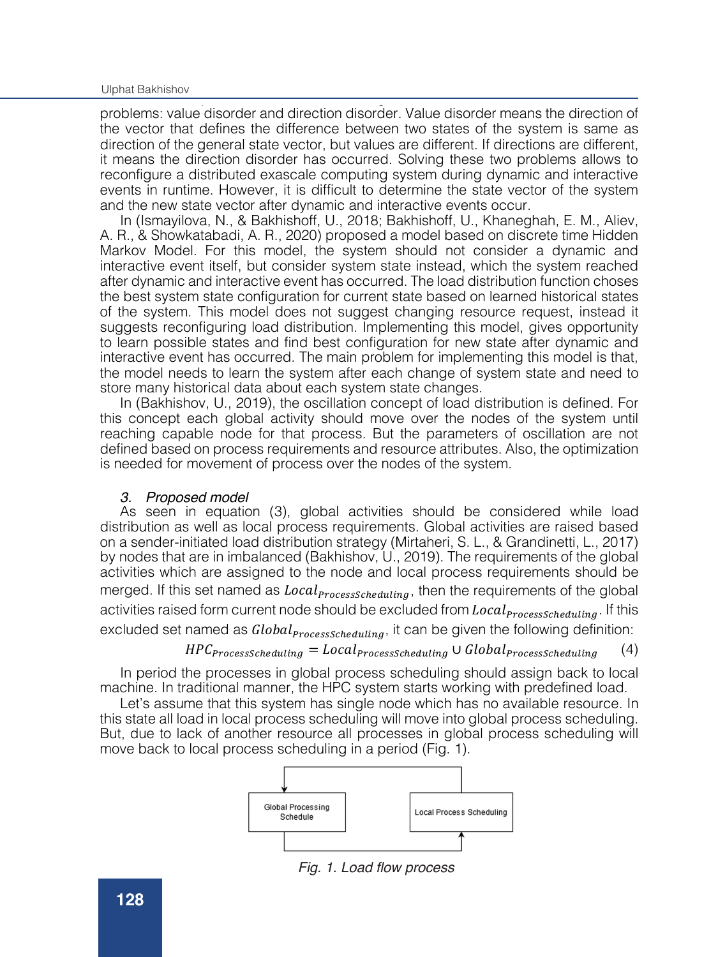## Ulphat Bakhishov. **Over the time that we change the time the time this vector changes.** For this vector changes. For this vector changes. For this vector changes. For this vector changes. For this vector changes. For this

express executives, if the load balancer tries to solve this vector changes, the load balancer tries to solve t problems: value disorder and direction disorder. Value disorder means the direction of the vector that defines the difference between two states of the system is same as direction of the general state vector, but values are different. If directions are different, it means the direction disorder has occurred. Solving these two problems allows to reconfigure a distributed exascale computing system during dynamic and interactive events in runtime. However, it is difficult to determine the state vector of the system and the new state vector after dynamic and interactive events occur.

In (Ismayilova, N., & Bakhishoff, U., 2018; Bakhishoff, U., Khaneghah, E. M., Aliev, A. R., & Showkatabadi, A. R., 2020) proposed a model based on discrete time Hidden Markov Model. For this model, the system should not consider a dynamic and interactive event itself, but consider system state instead, which the system reached after dynamic and interactive event has occurred. The load distribution function choses the best system state configuration for current state based on learned historical states of the system. This model does not suggest changing resource request, instead it suggests reconfiguring load distribution. Implementing this model, gives opportunity to learn possible states and find best configuration for new state after dynamic and interactive event has occurred. The main problem for implementing this model is that, the model needs to learn the system after each change of system state and need to store many historical data about each system state changes.

In (Bakhishov, U., 2019), the oscillation concept of load distribution is defined. For this concept each global activity should move over the nodes of the system until reaching capable node for that process. But the parameters of oscillation are not defined based on process requirements and resource attributes. Also, the optimization is needed for movement of process over the nodes of the system.

### *3. Proposed model*

As seen in equation (3), global activities should be considered while load distribution as well as local process requirements. Global activities are raised based on a sender-initiated load distribution strategy (Mirtaheri, S. L., & Grandinetti, L., 2017) by nodes that are in imbalanced (Bakhishov, U., 2019). The requirements of the global activities which are assigned to the node and local process requirements should be merged. If this set named as  $Local<sub>ProcessScheduling</sub>$ , then the requirements of the global activities raised form current node should be excluded from  $Local<sub>ProcessScheduling</sub>$ . If this excluded set named as  $Global_{processScheduling}$ , it can be given the following definition:

## $HPC_{processScheduling} = Local_{processScheduling} \cup Global_{processScheduling}$  (4)

In period the processes in global process scheduling should assign back to local machine. In traditional manner, the HPC system starts working with predefined load.

Let's assume that this system has single node which has no available resource. In this state all load in local process scheduling will move into global process scheduling. But, due to lack of another resource all processes in global process scheduling will move back to local process scheduling in a period (Fig. 1).



Fig. 1. Load flow process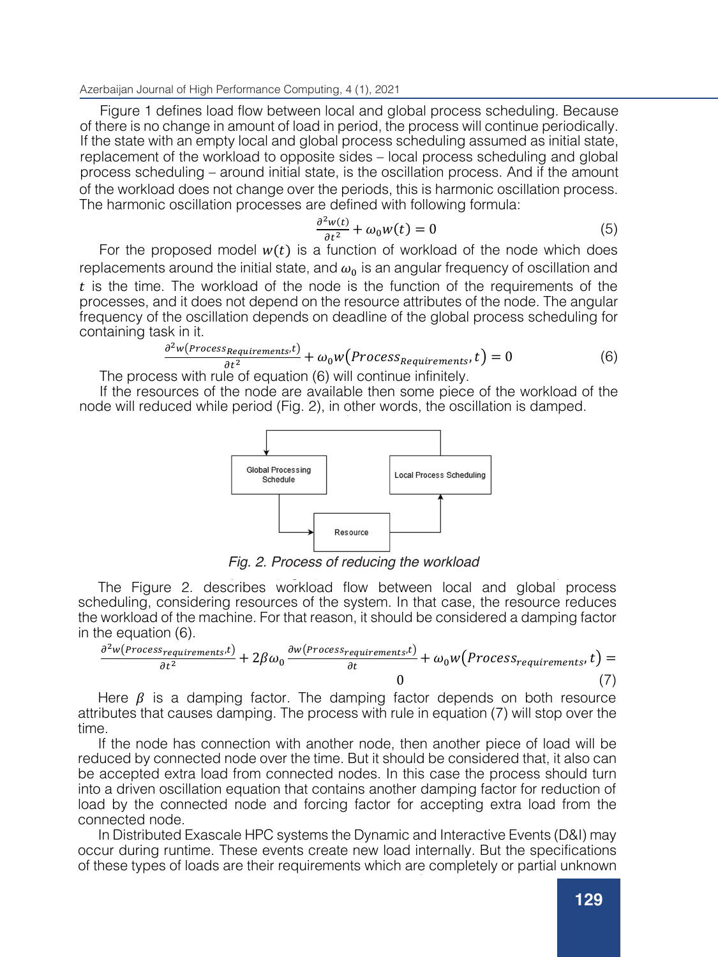$B$ ack of another resource all processes  $\alpha$  (d) and  $\alpha$  (d) processes  $\alpha$  (d) processes scheduling with  $\alpha$ Azerbaijan Journal of High Performance Computing, 4 (1), 2021<br>————————————————————

Figure 1 defines load flow between local and global process scheduling. Because of there is no change in amount of load in period, the process will continue periodically. If the state with an empty local and global process scheduling assumed as initial state, replacement of the workload to opposite sides – local process scheduling and global process scheduling – around initial state, is the oscillation process. And if the amount of the workload does not change over the periods, this is harmonic oscillation process. The harmonic oscillation processes are defined with following formula:

$$
\frac{\partial^2 w(t)}{\partial t^2} + \omega_0 w(t) = 0 \tag{5}
$$

For the proposed model  $w(t)$  is a function of workload of the node which does replacements around the initial state, and  $\omega_0$  is an angular frequency of oscillation and  $t$  is the time. The workload of the node is the function of the requirements of the processes, and it does not depend on the resource attributes of the node. The angular frequency of the oscillation depends on deadline of the global process scheduling for containing task in it.

$$
\frac{\partial^2 w(\text{Process}_{\text{Requests}}t)}{\partial t^2} + \omega_0 w(\text{Process}_{\text{Requests}}t) = 0 \tag{6}
$$

The process with rule of equation  $(6)$  will continue infinitely.

If the resources of the node are available then some piece of the workload of the If the resources of the node are available then some piece of the workload of the<br>node will reduced while period (Fig. 2), in other words, the oscillation is damped. For the proposed model (iis  $\epsilon$ ), in other words, the coolidation to dampod.



Fig. 2. Process of reducing the workload node will reduce with periodic periodic periodic periodic periodic periodic systems.

The Figure 2. describes workload flow between local and global process The Tigure 2. describes workload how between local and global process<br>scheduling, considering resources of the system. In that case, the resource reduces  $\mathbf{b}_0$  is a constructed node of the product of the process should have the production of  $\mathbf{b}_1$ the workload of the machine. For that reason, it should be considered a damping factor<br>in the equation (C)  $\ln \ln \theta$  equation (0). in the equation (6).

$$
\frac{\partial^2 w(\text{Process} \cdot \text{requirements.}t)}{\partial t^2} + 2\beta \omega_0 \frac{\partial w(\text{process} \cdot \text{requirements.}t)}{\partial t} + \omega_0 w(\text{Process} \cdot \text{requirements.}t) = 0 \tag{7}
$$

Here  $\beta$  is a damping factor. The damping factor depends on both resource attributes that causes damping. The process with rule in equation (7) will stop over the  $s$  time. The requirements of the requirements of the  $\alpha$  to the  $\alpha$  to the resource attributes of the resource attributes of the  $\alpha$ time.

If the node has connection with another node, then another piece of load will be reduced by connected node over the time. But it should be considered that, it also can be accepted extra load from connected nodes. In this case the process should turn *Discussion* connected node. The process of load.<br>In Distribution between the IPO sustance the Dimensional Internation Functor (D81) and u into a driven oscillation equation that contains another damping factor for reduction of load by the connected node and forcing factor for accepting extra load from the

In Distributed Exascale HPC systems the Dynamic and Interactive Events (D&I) may<br>Consult a but the another parameters of the Dynamic and Interactive Events (D&I) may occur during runtime. These events create new load internally. But the specifications of these parameters and their specifications of these types of loads are their requirements which are completely or partial unknown

to the node or not matching to the resource attributes of the node. In this case the node

change into an aperiodic process, the system would get into stable state in the minimum time. Because in that case the best resource for handling current global

original requirements should be kept. These types of loads also should be considered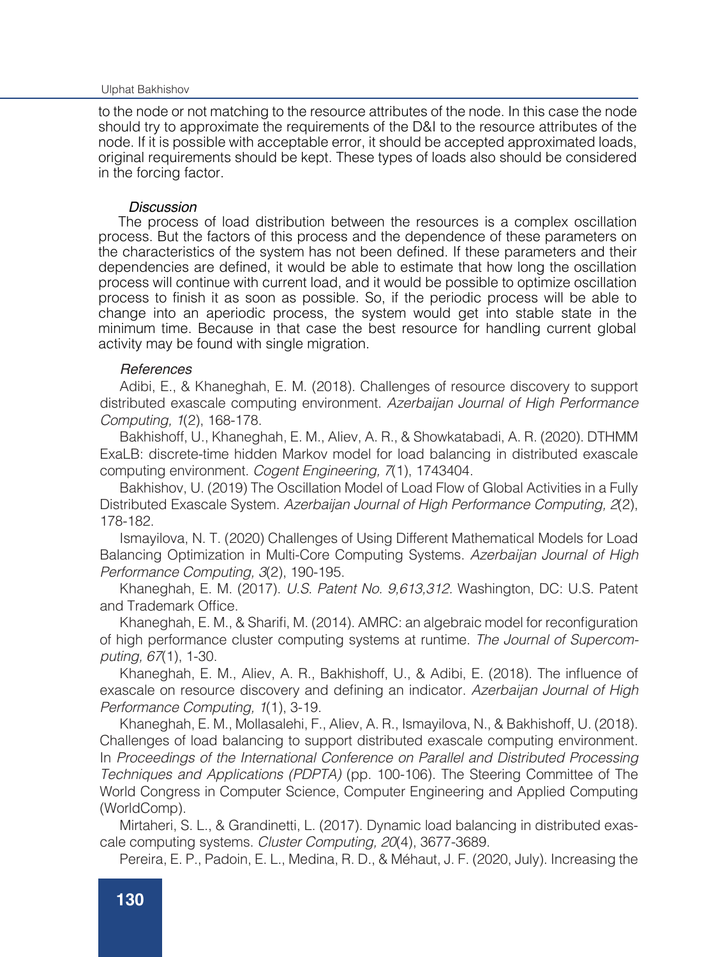#### occur during runtime. These events create new load internally. But the specifications Ulphat Bakhishov

of these types of loads are their requirements which are completely or partial unknown to the node or not matching to the resource attributes of the node. In this case the node should try to approximate the requirements of the D&I to the resource attributes of the node. If it is possible with acceptable error, it should be accepted approximated loads, original requirements should be kept. These types of loads also should be considered in the forcing factor.

### *Discussion*

The process of load distribution between the resources is a complex oscillation process. But the factors of this process and the dependence of these parameters on the characteristics of the system has not been defined. If these parameters and their dependencies are defined, it would be able to estimate that how long the oscillation process will continue with current load, and it would be possible to optimize oscillation process to finish it as soon as possible. So, if the periodic process will be able to change into an aperiodic process, the system would get into stable state in the minimum time. Because in that case the best resource for handling current global activity may be found with single migration.

## *References*

Adibi, E., & Khaneghah, E. M. (2018). Challenges of resource discovery to support distributed exascale computing environment. *Azerbaijan Journal of High Performance Computing, 1*(2), 168-178.

Bakhishoff, U., Khaneghah, E. M., Aliev, A. R., & Showkatabadi, A. R. (2020). DTHMM ExaLB: discrete-time hidden Markov model for load balancing in distributed exascale computing environment. *Cogent Engineering, 7*(1), 1743404.

Bakhishov, U. (2019) The Oscillation Model of Load Flow of Global Activities in a Fully Distributed Exascale System. *Azerbaijan Journal of High Performance Computing, 2*(2), 178-182.

Ismayilova, N. T. (2020) Challenges of Using Different Mathematical Models for Load Balancing Optimization in Multi-Core Computing Systems. *Azerbaijan Journal of High Performance Computing, 3*(2), 190-195.

Khaneghah, E. M. (2017). *U.S. Patent No. 9,613,312.* Washington, DC: U.S. Patent and Trademark Office.

Khaneghah, E. M., & Sharifi, M. (2014). AMRC: an algebraic model for reconfiguration of high performance cluster computing systems at runtime. *The Journal of Supercomputing, 67*(1), 1-30.

Khaneghah, E. M., Aliev, A. R., Bakhishoff, U., & Adibi, E. (2018). The influence of exascale on resource discovery and defining an indicator. *Azerbaijan Journal of High Performance Computing, 1*(1), 3-19.

Khaneghah, E. M., Mollasalehi, F., Aliev, A. R., Ismayilova, N., & Bakhishoff, U. (2018). Challenges of load balancing to support distributed exascale computing environment. In *Proceedings of the International Conference on Parallel and Distributed Processing Techniques and Applications (PDPTA)* (pp. 100-106). The Steering Committee of The World Congress in Computer Science, Computer Engineering and Applied Computing (WorldComp).

Mirtaheri, S. L., & Grandinetti, L. (2017). Dynamic load balancing in distributed exascale computing systems. *Cluster Computing, 20*(4), 3677-3689.

Pereira, E. P., Padoin, E. L., Medina, R. D., & Méhaut, J. F. (2020, July). Increasing the